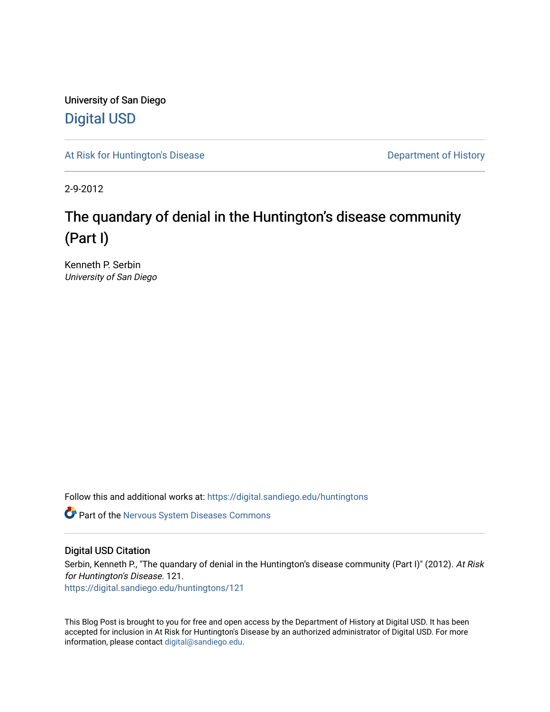University of San Diego [Digital USD](https://digital.sandiego.edu/)

[At Risk for Huntington's Disease](https://digital.sandiego.edu/huntingtons) **Department of History** Department of History

2-9-2012

# The quandary of denial in the Huntington's disease community (Part I)

Kenneth P. Serbin University of San Diego

Follow this and additional works at: [https://digital.sandiego.edu/huntingtons](https://digital.sandiego.edu/huntingtons?utm_source=digital.sandiego.edu%2Fhuntingtons%2F121&utm_medium=PDF&utm_campaign=PDFCoverPages)

**C** Part of the [Nervous System Diseases Commons](http://network.bepress.com/hgg/discipline/928?utm_source=digital.sandiego.edu%2Fhuntingtons%2F121&utm_medium=PDF&utm_campaign=PDFCoverPages)

# Digital USD Citation

Serbin, Kenneth P., "The quandary of denial in the Huntington's disease community (Part I)" (2012). At Risk for Huntington's Disease. 121. [https://digital.sandiego.edu/huntingtons/121](https://digital.sandiego.edu/huntingtons/121?utm_source=digital.sandiego.edu%2Fhuntingtons%2F121&utm_medium=PDF&utm_campaign=PDFCoverPages)

This Blog Post is brought to you for free and open access by the Department of History at Digital USD. It has been accepted for inclusion in At Risk for Huntington's Disease by an authorized administrator of Digital USD. For more information, please contact [digital@sandiego.edu.](mailto:digital@sandiego.edu)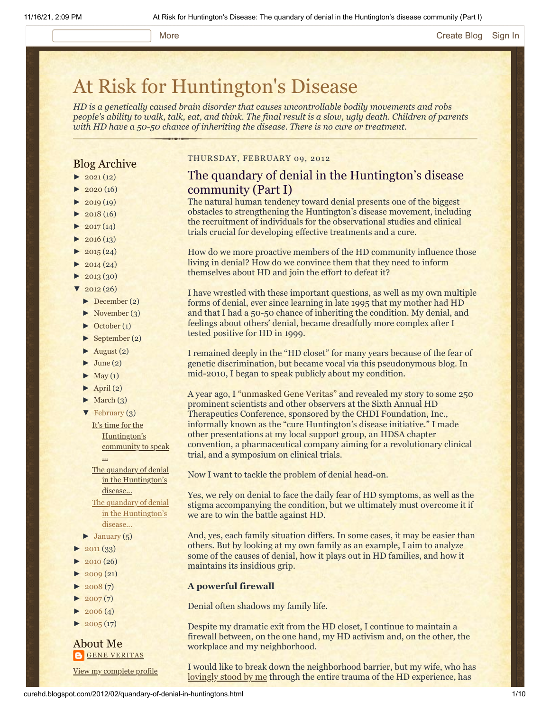#### More **[Create Blog](https://www.blogger.com/home#create) [Sign In](https://www.blogger.com/)**

# [At Risk for Huntington's Disease](http://curehd.blogspot.com/)

*HD is a genetically caused brain disorder that causes uncontrollable bodily movements and robs people's ability to walk, talk, eat, and think. The final result is a slow, ugly death. Children of parents with HD have a 50-50 chance of inheriting the disease. There is no cure or treatment.*

# Blog Archive

- $\blacktriangleright$  [2021](http://curehd.blogspot.com/2021/)(12)
- $\blacktriangleright$  [2020](http://curehd.blogspot.com/2020/) (16)
- $\blacktriangleright$  [2019](http://curehd.blogspot.com/2019/) (19)
- $\blacktriangleright$  [2018](http://curehd.blogspot.com/2018/) (16)
- $2017(14)$  $2017(14)$
- $2016(13)$  $2016(13)$
- $\blacktriangleright$  [2015](http://curehd.blogspot.com/2015/) (24)
- $\blacktriangleright$  [2014](http://curehd.blogspot.com/2014/) (24)
- $\blacktriangleright$  [2013](http://curehd.blogspot.com/2013/) (30)
- $\sqrt{2012(26)}$  $\sqrt{2012(26)}$  $\sqrt{2012(26)}$ 
	- [►](javascript:void(0)) [December](http://curehd.blogspot.com/2012/12/) (2)
	- $\blacktriangleright$  [November](http://curehd.blogspot.com/2012/11/) (3)
	- [►](javascript:void(0)) [October](http://curehd.blogspot.com/2012/10/) (1)
	- [►](javascript:void(0)) [September](http://curehd.blogspot.com/2012/09/) (2)
	- $\blacktriangleright$  [August](http://curehd.blogspot.com/2012/08/) (2)
	- $\blacktriangleright$  [June](http://curehd.blogspot.com/2012/06/) (2)
	- $\blacktriangleright$  [May](http://curehd.blogspot.com/2012/05/) (1)
	- $\blacktriangleright$  [April](http://curehd.blogspot.com/2012/04/) (2)
	- $\blacktriangleright$  [March](http://curehd.blogspot.com/2012/03/) (3)

...

- $\blacktriangledown$  [February](http://curehd.blogspot.com/2012/02/)  $(3)$ It's time for the [Huntington's](http://curehd.blogspot.com/2012/02/its-time-for-huntingtons-community-to.html) community to speak
	- The quandary of denial in the [Huntington's](http://curehd.blogspot.com/2012/02/quandary-of-denial-in-huntingtons_16.html) disease...
- The quandary of denial in the [Huntington's](http://curehd.blogspot.com/2012/02/quandary-of-denial-in-huntingtons.html) disease...
- $\blacktriangleright$  [January](http://curehd.blogspot.com/2012/01/) (5)
- $\blacktriangleright$  [2011](http://curehd.blogspot.com/2011/) (33)
- $2010(26)$  $2010(26)$
- $\blacktriangleright$  [2009](http://curehd.blogspot.com/2009/) (21)
- $\blacktriangleright$  [2008](http://curehd.blogspot.com/2008/)(7)
- $\blacktriangleright$  [2007](http://curehd.blogspot.com/2007/) $(7)$
- $\blacktriangleright$  [2006](http://curehd.blogspot.com/2006/) (4)
- $\blacktriangleright$  [2005](http://curehd.blogspot.com/2005/) (17)
- About Me **GENE [VERITAS](https://www.blogger.com/profile/10911736205741688185)**

View my [complete](https://www.blogger.com/profile/10911736205741688185) profile

# THURSDAY, FEBRUARY 09, 2012

# The quandary of denial in the Huntington's disease community (Part I)

The natural human tendency toward denial presents one of the biggest obstacles to strengthening the Huntington's disease movement, including the recruitment of individuals for the observational studies and clinical trials crucial for developing effective treatments and a cure.

How do we more proactive members of the HD community influence those living in denial? How do we convince them that they need to inform themselves about HD and join the effort to defeat it?

I have wrestled with these important questions, as well as my own multiple forms of denial, ever since learning in late 1995 that my mother had HD and that I had a 50-50 chance of inheriting the condition. My denial, and feelings about others' denial, became dreadfully more complex after I tested positive for HD in 1999.

I remained deeply in the "HD closet" for many years because of the fear of genetic discrimination, but became vocal via this pseudonymous blog. In mid-2010, I began to speak publicly about my condition.

A year ago, I ["unmasked Gene Veritas"](http://www.curehd.blogspot.com/2011/02/unmasking-gene-veritas-huntingtons.html) and revealed my story to some 250 prominent scientists and other observers at the Sixth Annual HD Therapeutics Conference, sponsored by the CHDI Foundation, Inc., informally known as the "cure Huntington's disease initiative." I made other presentations at my local support group, an HDSA chapter convention, a pharmaceutical company aiming for a revolutionary clinical trial, and a symposium on clinical trials.

Now I want to tackle the problem of denial head-on.

Yes, we rely on denial to face the daily fear of HD symptoms, as well as the stigma accompanying the condition, but we ultimately must overcome it if we are to win the battle against HD.

And, yes, each family situation differs. In some cases, it may be easier than others. But by looking at my own family as an example, I aim to analyze some of the causes of denial, how it plays out in HD families, and how it maintains its insidious grip.

#### **A powerful firewall**

Denial often shadows my family life.

Despite my dramatic exit from the HD closet, I continue to maintain a firewall between, on the one hand, my HD activism and, on the other, the workplace and my neighborhood.

I would like to break down the neighborhood barrier, but my wife, who has [lovingly stood by me](http://www.curehd.blogspot.com/2010/01/when-pain-brings-smile.html) through the entire trauma of the HD experience, has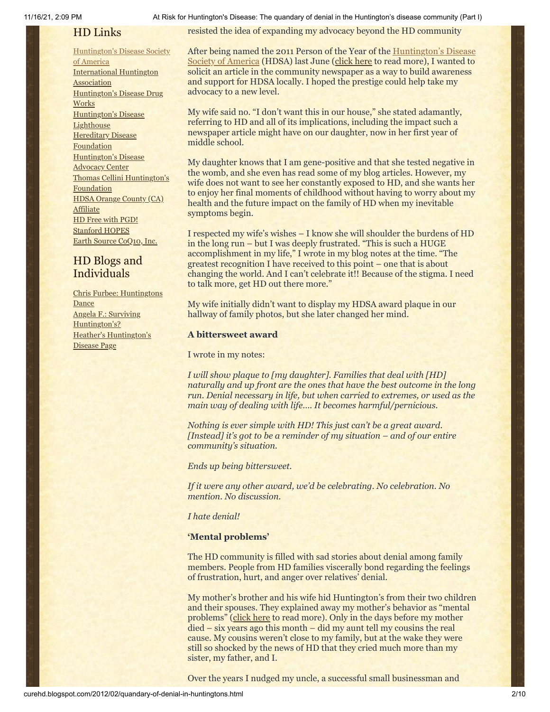# HD Links

[Huntington's](http://www.hdsa.org/) Disease Society of America [International](http://www.huntington-assoc.com/) Huntington **Association** [Huntington's](http://hddrugworks.org/) Disease Drug **Works** [Huntington's](http://www.hdlighthouse.org/) Disease **Lighthouse Hereditary Disease [Foundation](http://www.hdfoundation.org/)** [Huntington's](http://www.hdac.org/) Disease Advocacy Center Thomas [Cellini Huntington's](http://www.ourtchfoundation.org/) **Foundation** HDSA Orange County (CA) **[Affiliate](http://www.hdsaoc.org/)** HD Free with [PGD!](http://www.hdfreewithpgd.com/) [Stanford](http://www.stanford.edu/group/hopes/) HOPES Earth Source [CoQ10,](http://www.escoq10.com/) Inc.

# HD Blogs and Individuals

Chris Furbee: [Huntingtons](http://www.huntingtonsdance.org/) Dance Angela F.: Surviving [Huntington's?](http://survivinghuntingtons.blogspot.com/) Heather's [Huntington's](http://heatherdugdale.angelfire.com/) Disease Page

11/16/21, 2:09 PM At Risk for Huntington's Disease: The quandary of denial in the Huntington's disease community (Part I)

resisted the idea of expanding my advocacy beyond the HD community

[After being named the 2011 Person of the Year of the Huntington's Disease](http://www.hdsa.org/) Society of America (HDSA) last June [\(click here](http://www.curehd.blogspot.com/2011/07/some-reflections-on-being-named-hdsa_08.html) to read more), I wanted to solicit an article in the community newspaper as a way to build awareness and support for HDSA locally. I hoped the prestige could help take my advocacy to a new level.

My wife said no. "I don't want this in our house," she stated adamantly, referring to HD and all of its implications, including the impact such a newspaper article might have on our daughter, now in her first year of middle school.

My daughter knows that I am gene-positive and that she tested negative in the womb, and she even has read some of my blog articles. However, my wife does not want to see her constantly exposed to HD, and she wants her to enjoy her final moments of childhood without having to worry about my health and the future impact on the family of HD when my inevitable symptoms begin.

I respected my wife's wishes – I know she will shoulder the burdens of HD in the long run – but I was deeply frustrated. "This is such a HUGE accomplishment in my life," I wrote in my blog notes at the time. "The greatest recognition I have received to this point – one that is about changing the world. And I can't celebrate it!! Because of the stigma. I need to talk more, get HD out there more."

My wife initially didn't want to display my HDSA award plaque in our hallway of family photos, but she later changed her mind.

## **A bittersweet award**

I wrote in my notes:

*I will show plaque to [my daughter]. Families that deal with [HD] naturally and up front are the ones that have the best outcome in the long run. Denial necessary in life, but when carried to extremes, or used as the main way of dealing with life…. It becomes harmful/pernicious.*

*Nothing is ever simple with HD! This just can't be a great award. [Instead] it's got to be a reminder of my situation – and of our entire community's situation.*

*Ends up being bittersweet.*

*If it were any other award, we'd be celebrating. No celebration. No mention. No discussion.* 

#### *I hate denial!*

#### **'Mental problems'**

The HD community is filled with sad stories about denial among family members. People from HD families viscerally bond regarding the feelings of frustration, hurt, and anger over relatives' denial.

My mother's brother and his wife hid Huntington's from their two children and their spouses. They explained away my mother's behavior as "mental problems" [\(click here](http://www.curehd.blogspot.com/2008/09/disease-denial-and-support-many-kinds.html) to read more). Only in the days before my mother died – six years ago this month – did my aunt tell my cousins the real cause. My cousins weren't close to my family, but at the wake they were still so shocked by the news of HD that they cried much more than my sister, my father, and I.

Over the years I nudged my uncle, a successful small businessman and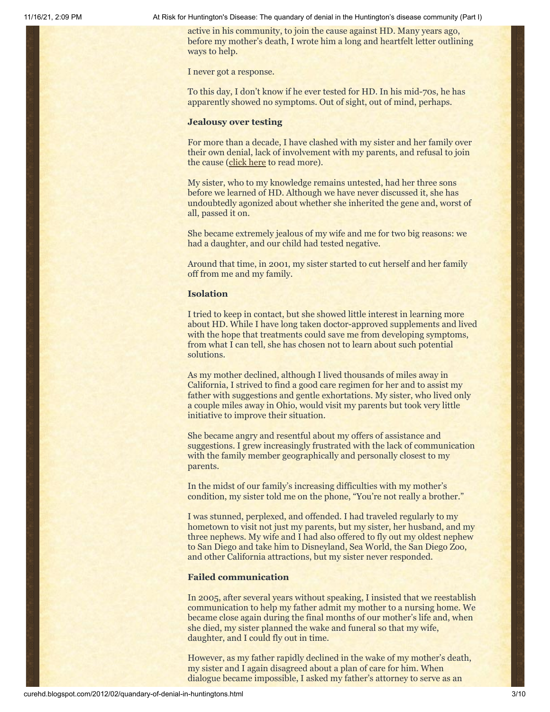active in his community, to join the cause against HD. Many years ago, before my mother's death, I wrote him a long and heartfelt letter outlining ways to help.

I never got a response.

To this day, I don't know if he ever tested for HD. In his mid-70s, he has apparently showed no symptoms. Out of sight, out of mind, perhaps.

#### **Jealousy over testing**

For more than a decade, I have clashed with my sister and her family over their own denial, lack of involvement with my parents, and refusal to join the cause ([click here](http://www.curehd.blogspot.com/2008/09/disease-denial-and-support-many-kinds.html) to read more).

My sister, who to my knowledge remains untested, had her three sons before we learned of HD. Although we have never discussed it, she has undoubtedly agonized about whether she inherited the gene and, worst of all, passed it on.

She became extremely jealous of my wife and me for two big reasons: we had a daughter, and our child had tested negative.

Around that time, in 2001, my sister started to cut herself and her family off from me and my family.

#### **Isolation**

I tried to keep in contact, but she showed little interest in learning more about HD. While I have long taken doctor-approved supplements and lived with the hope that treatments could save me from developing symptoms, from what I can tell, she has chosen not to learn about such potential solutions.

As my mother declined, although I lived thousands of miles away in California, I strived to find a good care regimen for her and to assist my father with suggestions and gentle exhortations. My sister, who lived only a couple miles away in Ohio, would visit my parents but took very little initiative to improve their situation.

She became angry and resentful about my offers of assistance and suggestions. I grew increasingly frustrated with the lack of communication with the family member geographically and personally closest to my parents.

In the midst of our family's increasing difficulties with my mother's condition, my sister told me on the phone, "You're not really a brother."

I was stunned, perplexed, and offended. I had traveled regularly to my hometown to visit not just my parents, but my sister, her husband, and my three nephews. My wife and I had also offered to fly out my oldest nephew to San Diego and take him to Disneyland, Sea World, the San Diego Zoo, and other California attractions, but my sister never responded.

# **Failed communication**

In 2005, after several years without speaking, I insisted that we reestablish communication to help my father admit my mother to a nursing home. We became close again during the final months of our mother's life and, when she died, my sister planned the wake and funeral so that my wife, daughter, and I could fly out in time.

However, as my father rapidly declined in the wake of my mother's death, my sister and I again disagreed about a plan of care for him. When dialogue became impossible, I asked my father's attorney to serve as an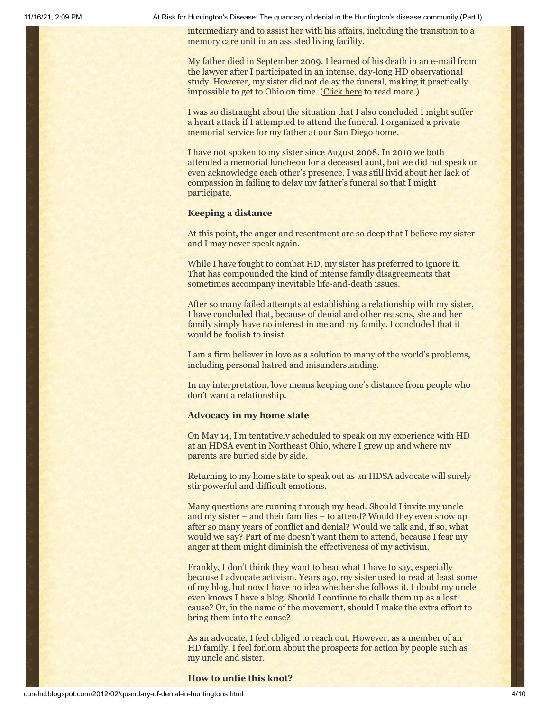intermediary and to assist her with his affairs, including the transition to a memory care unit in an assisted living facility.

My father died in September 2009. I learned of his death in an e-mail from the lawyer after I participated in an intense, day-long HD observational study. However, my sister did not delay the funeral, making it practically impossible to get to Ohio on time. [\(Click here](http://www.curehd.blogspot.com/2009/10/experiment-and-death.html) to read more.)

I was so distraught about the situation that I also concluded I might suffer a heart attack if I attempted to attend the funeral. I organized a private memorial service for my father at our San Diego home.

I have not spoken to my sister since August 2008. In 2010 we both attended a memorial luncheon for a deceased aunt, but we did not speak or even acknowledge each other's presence. I was still livid about her lack of compassion in failing to delay my father's funeral so that I might participate.

## **Keeping a distance**

At this point, the anger and resentment are so deep that I believe my sister and I may never speak again.

While I have fought to combat HD, my sister has preferred to ignore it. That has compounded the kind of intense family disagreements that sometimes accompany inevitable life-and-death issues.

After so many failed attempts at establishing a relationship with my sister, I have concluded that, because of denial and other reasons, she and her family simply have no interest in me and my family. I concluded that it would be foolish to insist.

I am a firm believer in love as a solution to many of the world's problems, including personal hatred and misunderstanding.

In my interpretation, love means keeping one's distance from people who don't want a relationship.

#### **Advocacy in my home state**

On May 14, I'm tentatively scheduled to speak on my experience with HD at an HDSA event in Northeast Ohio, where I grew up and where my parents are buried side by side.

Returning to my home state to speak out as an HDSA advocate will surely stir powerful and difficult emotions.

Many questions are running through my head. Should I invite my uncle and my sister – and their families – to attend? Would they even show up after so many years of conflict and denial? Would we talk and, if so, what would we say? Part of me doesn't want them to attend, because I fear my anger at them might diminish the effectiveness of my activism.

Frankly, I don't think they want to hear what I have to say, especially because I advocate activism. Years ago, my sister used to read at least some of my blog, but now I have no idea whether she follows it. I doubt my uncle even knows I have a blog. Should I continue to chalk them up as a lost cause? Or, in the name of the movement, should I make the extra effort to bring them into the cause?

As an advocate, I feel obliged to reach out. However, as a member of an HD family, I feel forlorn about the prospects for action by people such as my uncle and sister.

#### **How to untie this knot?**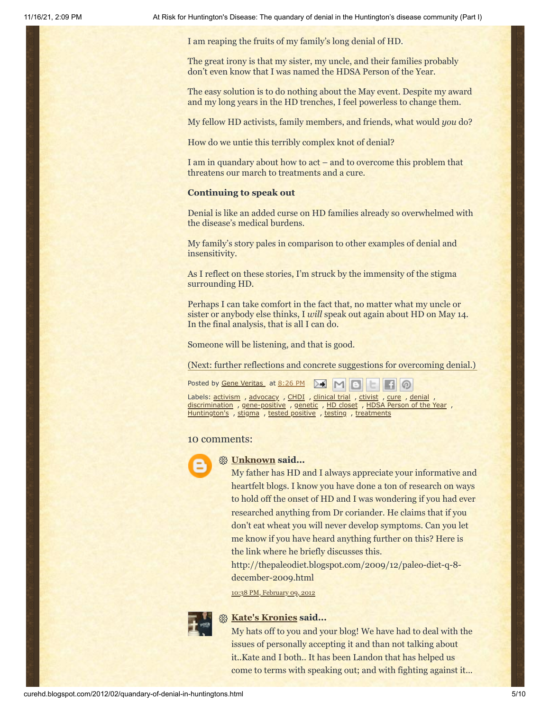I am reaping the fruits of my family's long denial of HD.

The great irony is that my sister, my uncle, and their families probably don't even know that I was named the HDSA Person of the Year.

The easy solution is to do nothing about the May event. Despite my award and my long years in the HD trenches, I feel powerless to change them.

My fellow HD activists, family members, and friends, what would *you* do?

How do we untie this terribly complex knot of denial?

I am in quandary about how to act – and to overcome this problem that threatens our march to treatments and a cure.

#### **Continuing to speak out**

Denial is like an added curse on HD families already so overwhelmed with the disease's medical burdens.

My family's story pales in comparison to other examples of denial and insensitivity.

As I reflect on these stories, I'm struck by the immensity of the stigma surrounding HD.

Perhaps I can take comfort in the fact that, no matter what my uncle or sister or anybody else thinks, I *will* speak out again about HD on May 14. In the final analysis, that is all I can do.

Someone will be listening, and that is good.

(Next: further reflections and concrete suggestions for overcoming denial.)

Posted by Gene [Veritas](https://www.blogger.com/profile/03599828959793084715) at [8:26](http://curehd.blogspot.com/2012/02/quandary-of-denial-in-huntingtons.html) PM ▷€

Labels: [activism](http://curehd.blogspot.com/search/label/activism) , [advocacy](http://curehd.blogspot.com/search/label/advocacy) , [CHDI](http://curehd.blogspot.com/search/label/CHDI) , [clinical](http://curehd.blogspot.com/search/label/clinical%20trial) trial , [ctivist](http://curehd.blogspot.com/search/label/ctivist) , [cure](http://curehd.blogspot.com/search/label/cure) , [denial](http://curehd.blogspot.com/search/label/denial) [discrimination](http://curehd.blogspot.com/search/label/discrimination) , [gene-positive](http://curehd.blogspot.com/search/label/gene-positive) , [genetic](http://curehd.blogspot.com/search/label/genetic) , HD [closet](http://curehd.blogspot.com/search/label/HD%20closet) , [HDSA Person](http://curehd.blogspot.com/search/label/HDSA%20Person%20of%20the%20Year) of the Year , [Huntington's](http://curehd.blogspot.com/search/label/Huntington%27s) , [stigma](http://curehd.blogspot.com/search/label/stigma) , tested [positive](http://curehd.blogspot.com/search/label/tested%20positive) , [testing](http://curehd.blogspot.com/search/label/testing) , [treatments](http://curehd.blogspot.com/search/label/treatments)

#### 10 comments:



#### **[Unknown](https://www.blogger.com/profile/09048974247603450509) said...**

My father has HD and I always appreciate your informative and heartfelt blogs. I know you have done a ton of research on ways to hold off the onset of HD and I was wondering if you had ever researched anything from Dr coriander. He claims that if you don't eat wheat you will never develop symptoms. Can you let me know if you have heard anything further on this? Here is the link where he briefly discusses this.

http://thepaleodiet.blogspot.com/2009/12/paleo-diet-q-8 december-2009.html

10:38 PM, [February](http://curehd.blogspot.com/2012/02/quandary-of-denial-in-huntingtons.html?showComment=1328855935381#c7645283301457178887) 09, 2012



## **[Kate's Kronies](https://www.blogger.com/profile/14783112013158512961) said...**

My hats off to you and your blog! We have had to deal with the issues of personally accepting it and than not talking about it..Kate and I both.. It has been Landon that has helped us come to terms with speaking out; and with fighting against it...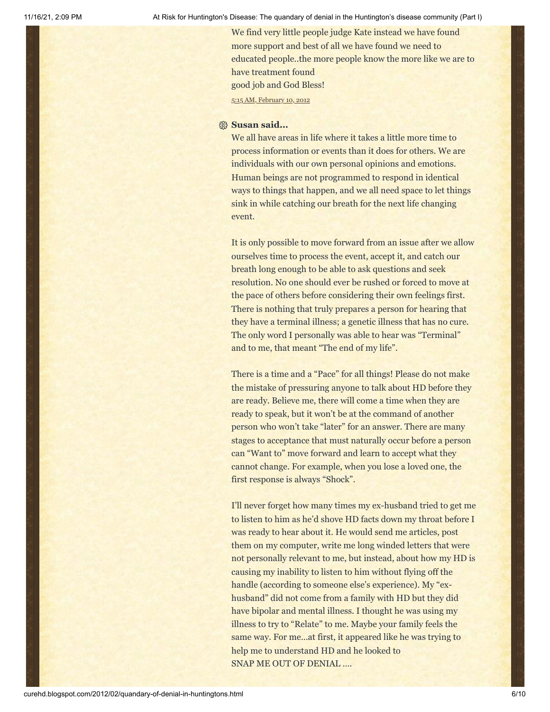We find very little people judge Kate instead we have found more support and best of all we have found we need to educated people..the more people know the more like we are to have treatment found good job and God Bless!

5:15 AM, [February](http://curehd.blogspot.com/2012/02/quandary-of-denial-in-huntingtons.html?showComment=1328879720407#c8387891729980381868) 10, 2012

# **Susan said...**

We all have areas in life where it takes a little more time to process information or events than it does for others. We are individuals with our own personal opinions and emotions. Human beings are not programmed to respond in identical ways to things that happen, and we all need space to let things sink in while catching our breath for the next life changing event.

It is only possible to move forward from an issue after we allow ourselves time to process the event, accept it, and catch our breath long enough to be able to ask questions and seek resolution. No one should ever be rushed or forced to move at the pace of others before considering their own feelings first. There is nothing that truly prepares a person for hearing that they have a terminal illness; a genetic illness that has no cure. The only word I personally was able to hear was "Terminal" and to me, that meant "The end of my life".

There is a time and a "Pace" for all things! Please do not make the mistake of pressuring anyone to talk about HD before they are ready. Believe me, there will come a time when they are ready to speak, but it won't be at the command of another person who won't take "later" for an answer. There are many stages to acceptance that must naturally occur before a person can "Want to" move forward and learn to accept what they cannot change. For example, when you lose a loved one, the first response is always "Shock".

I'll never forget how many times my ex-husband tried to get me to listen to him as he'd shove HD facts down my throat before I was ready to hear about it. He would send me articles, post them on my computer, write me long winded letters that were not personally relevant to me, but instead, about how my HD is causing my inability to listen to him without flying off the handle (according to someone else's experience). My "exhusband" did not come from a family with HD but they did have bipolar and mental illness. I thought he was using my illness to try to "Relate" to me. Maybe your family feels the same way. For me…at first, it appeared like he was trying to help me to understand HD and he looked to SNAP ME OUT OF DENIAL ….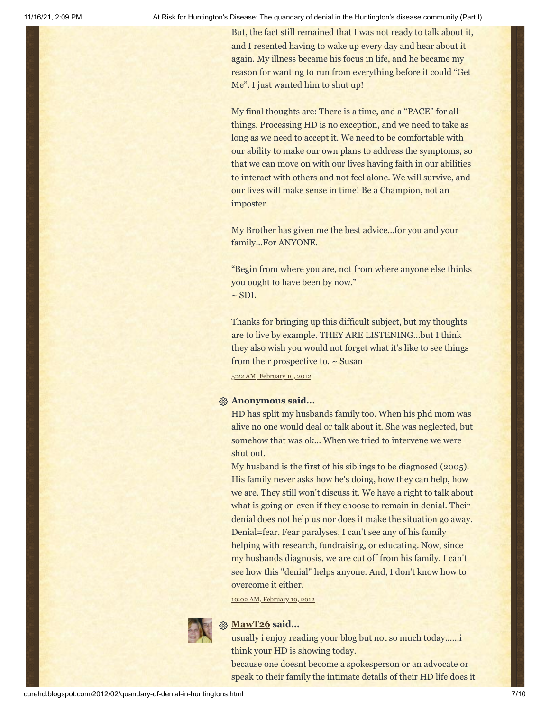But, the fact still remained that I was not ready to talk about it, and I resented having to wake up every day and hear about it again. My illness became his focus in life, and he became my reason for wanting to run from everything before it could "Get Me". I just wanted him to shut up!

My final thoughts are: There is a time, and a "PACE" for all things. Processing HD is no exception, and we need to take as long as we need to accept it. We need to be comfortable with our ability to make our own plans to address the symptoms, so that we can move on with our lives having faith in our abilities to interact with others and not feel alone. We will survive, and our lives will make sense in time! Be a Champion, not an imposter.

My Brother has given me the best advice…for you and your family...For ANYONE.

"Begin from where you are, not from where anyone else thinks you ought to have been by now."  $~\sim$  SDL

Thanks for bringing up this difficult subject, but my thoughts are to live by example. THEY ARE LISTENING...but I think they also wish you would not forget what it's like to see things from their prospective to. ~ Susan

5:22 AM, [February](http://curehd.blogspot.com/2012/02/quandary-of-denial-in-huntingtons.html?showComment=1328880148245#c2720941531136216321) 10, 2012

# **Anonymous said...**

HD has split my husbands family too. When his phd mom was alive no one would deal or talk about it. She was neglected, but somehow that was ok... When we tried to intervene we were shut out.

My husband is the first of his siblings to be diagnosed (2005). His family never asks how he's doing, how they can help, how we are. They still won't discuss it. We have a right to talk about what is going on even if they choose to remain in denial. Their denial does not help us nor does it make the situation go away. Denial=fear. Fear paralyses. I can't see any of his family helping with research, fundraising, or educating. Now, since my husbands diagnosis, we are cut off from his family. I can't see how this "denial" helps anyone. And, I don't know how to overcome it either.

10:02 AM, [February](http://curehd.blogspot.com/2012/02/quandary-of-denial-in-huntingtons.html?showComment=1328896954540#c2736989668076673168) 10, 2012



### **[MawT26](https://www.blogger.com/profile/17204047567770784917) said...**

usually i enjoy reading your blog but not so much today......i think your HD is showing today.

because one doesnt become a spokesperson or an advocate or speak to their family the intimate details of their HD life does it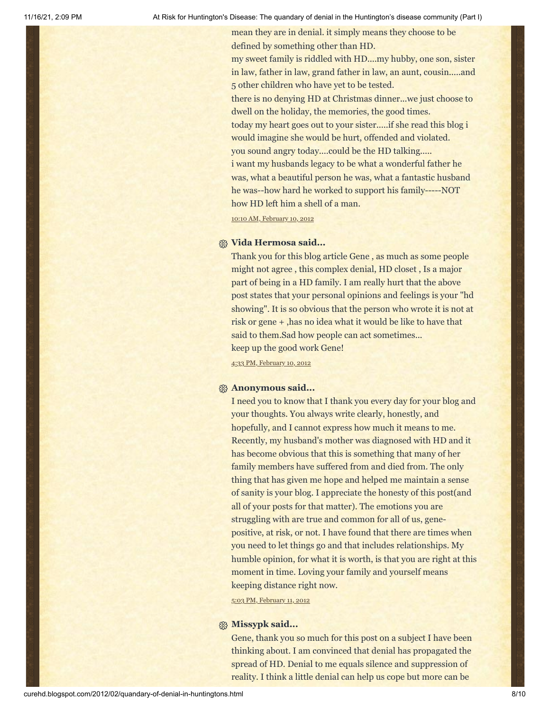mean they are in denial. it simply means they choose to be defined by something other than HD.

my sweet family is riddled with HD....my hubby, one son, sister in law, father in law, grand father in law, an aunt, cousin.....and 5 other children who have yet to be tested.

there is no denying HD at Christmas dinner...we just choose to dwell on the holiday, the memories, the good times.

today my heart goes out to your sister.....if she read this blog i would imagine she would be hurt, offended and violated. you sound angry today....could be the HD talking.....

i want my husbands legacy to be what a wonderful father he was, what a beautiful person he was, what a fantastic husband he was--how hard he worked to support his family-----NOT how HD left him a shell of a man.

10:10 AM, [February](http://curehd.blogspot.com/2012/02/quandary-of-denial-in-huntingtons.html?showComment=1328897404100#c5146724591498301939) 10, 2012

# **Vida Hermosa said...**

Thank you for this blog article Gene , as much as some people might not agree , this complex denial, HD closet , Is a major part of being in a HD family. I am really hurt that the above post states that your personal opinions and feelings is your "hd showing". It is so obvious that the person who wrote it is not at risk or gene + ,has no idea what it would be like to have that said to them.Sad how people can act sometimes... keep up the good work Gene!

4:33 PM, [February](http://curehd.blogspot.com/2012/02/quandary-of-denial-in-huntingtons.html?showComment=1328920429955#c1262376129410990164) 10, 2012

### **Anonymous said...**

I need you to know that I thank you every day for your blog and your thoughts. You always write clearly, honestly, and hopefully, and I cannot express how much it means to me. Recently, my husband's mother was diagnosed with HD and it has become obvious that this is something that many of her family members have suffered from and died from. The only thing that has given me hope and helped me maintain a sense of sanity is your blog. I appreciate the honesty of this post(and all of your posts for that matter). The emotions you are struggling with are true and common for all of us, genepositive, at risk, or not. I have found that there are times when you need to let things go and that includes relationships. My humble opinion, for what it is worth, is that you are right at this moment in time. Loving your family and yourself means keeping distance right now.

5:03 PM, [February](http://curehd.blogspot.com/2012/02/quandary-of-denial-in-huntingtons.html?showComment=1329008583383#c3168067866477049858) 11, 2012

# **Missypk said...**

Gene, thank you so much for this post on a subject I have been thinking about. I am convinced that denial has propagated the spread of HD. Denial to me equals silence and suppression of reality. I think a little denial can help us cope but more can be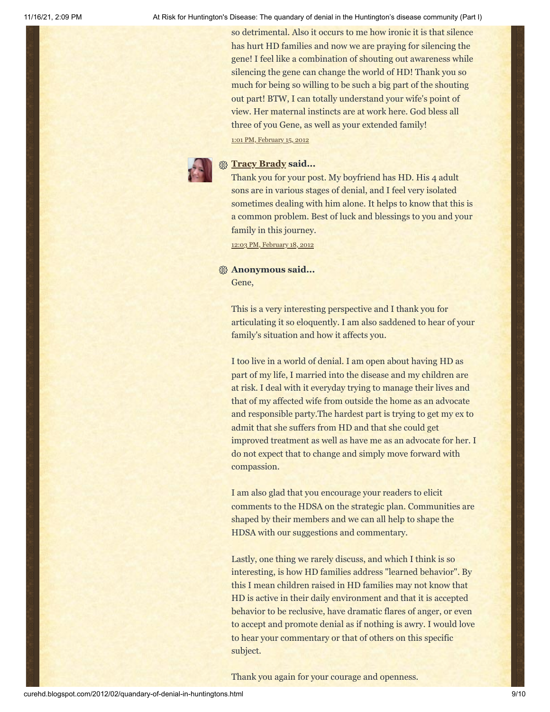so detrimental. Also it occurs to me how ironic it is that silence has hurt HD families and now we are praying for silencing the gene! I feel like a combination of shouting out awareness while silencing the gene can change the world of HD! Thank you so much for being so willing to be such a big part of the shouting out part! BTW, I can totally understand your wife's point of view. Her maternal instincts are at work here. God bless all three of you Gene, as well as your extended family!

1:01 PM, [February](http://curehd.blogspot.com/2012/02/quandary-of-denial-in-huntingtons.html?showComment=1329339665047#c3899059356155849998) 15, 2012

# **[Tracy Brady](https://www.blogger.com/profile/01037055266403699864) said...**

Thank you for your post. My boyfriend has HD. His 4 adult sons are in various stages of denial, and I feel very isolated sometimes dealing with him alone. It helps to know that this is a common problem. Best of luck and blessings to you and your family in this journey.

12:03 PM, [February](http://curehd.blogspot.com/2012/02/quandary-of-denial-in-huntingtons.html?showComment=1329595389900#c7501124912695890628) 18, 2012

# **Anonymous said...** Gene,

This is a very interesting perspective and I thank you for articulating it so eloquently. I am also saddened to hear of your family's situation and how it affects you.

I too live in a world of denial. I am open about having HD as part of my life, I married into the disease and my children are at risk. I deal with it everyday trying to manage their lives and that of my affected wife from outside the home as an advocate and responsible party.The hardest part is trying to get my ex to admit that she suffers from HD and that she could get improved treatment as well as have me as an advocate for her. I do not expect that to change and simply move forward with compassion.

I am also glad that you encourage your readers to elicit comments to the HDSA on the strategic plan. Communities are shaped by their members and we can all help to shape the HDSA with our suggestions and commentary.

Lastly, one thing we rarely discuss, and which I think is so interesting, is how HD families address "learned behavior". By this I mean children raised in HD families may not know that HD is active in their daily environment and that it is accepted behavior to be reclusive, have dramatic flares of anger, or even to accept and promote denial as if nothing is awry. I would love to hear your commentary or that of others on this specific subject.

Thank you again for your courage and openness.